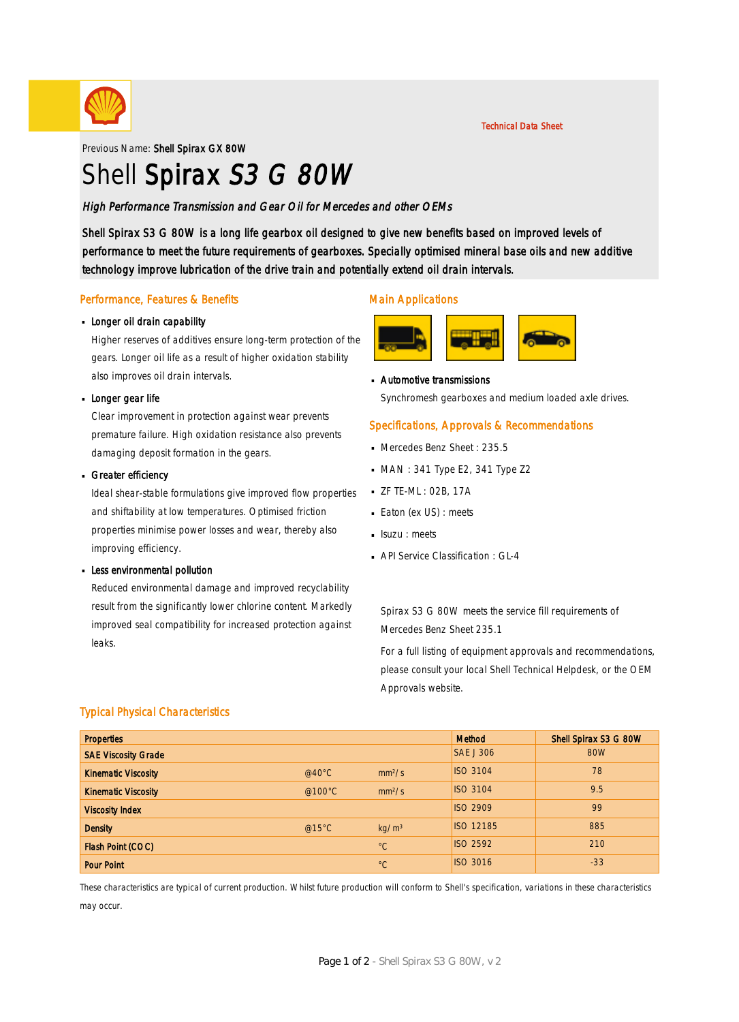

Previous Name: Shell Spirax GX 80W

# Shell Spirax S3 G 80W

### High Performance Transmission and Gear Oil for Mercedes and other OEMs

Shell Spirax S3 G 80W is a long life gearbox oil designed to give new benefits based on improved levels of performance to meet the future requirements of gearboxes. Specially optimised mineral base oils and new additive technology improve lubrication of the drive train and potentially extend oil drain intervals.

#### Performance, Features & Benefits

## **Longer oil drain capability**

Higher reserves of additives ensure long-term protection of the gears. Longer oil life as a result of higher oxidation stability also improves oil drain intervals.

## **Longer gear life**

Clear improvement in protection against wear prevents premature failure. High oxidation resistance also prevents damaging deposit formation in the gears.

## Greater efficiency

Ideal shear-stable formulations give improved flow properties and shiftability at low temperatures. Optimised friction properties minimise power losses and wear, thereby also improving efficiency.

## **Less environmental pollution**

Reduced environmental damage and improved recyclability result from the significantly lower chlorine content. Markedly improved seal compatibility for increased protection against leaks.

#### Main Applications



Automotive transmissions · Synchromesh gearboxes and medium loaded axle drives.

#### Specifications, Approvals & Recommendations

- Mercedes Benz Sheet: 235.5
- $MAN: 341$  Type E2, 341 Type Z2
- ZF TE-ML : 02B, 17A ·
- $B$  Eaton (ex US) : meets
- **Isuzu** : meets
- **API Service Classification : GL-4**

Spirax S3 G 80W meets the service fill requirements of Mercedes Benz Sheet 235.1

For a full listing of equipment approvals and recommendations, please consult your local Shell Technical Helpdesk, or the OEM Approvals website.

#### Typical Physical Characteristics

| <b>Properties</b>          |                  |                    | Method           | Shell Spirax S3 G 80W |
|----------------------------|------------------|--------------------|------------------|-----------------------|
| <b>SAE Viscosity Grade</b> |                  |                    | <b>SAE J 306</b> | 80W                   |
| <b>Kinematic Viscosity</b> | @40 $^{\circ}$ C | mm <sup>2</sup> /s | <b>ISO 3104</b>  | 78                    |
| <b>Kinematic Viscosity</b> | @100 $\degree$ C | mm <sup>2</sup> /s | <b>ISO 3104</b>  | 9.5                   |
| <b>Viscosity Index</b>     |                  |                    | <b>ISO 2909</b>  | 99                    |
| <b>Density</b>             | @15 $°C$         | kg/m <sup>3</sup>  | <b>ISO 12185</b> | 885                   |
| Flash Point (COC)          |                  | $^{\circ}C$        | <b>ISO 2592</b>  | 210                   |
| <b>Pour Point</b>          |                  | $^{\circ}C$        | <b>ISO 3016</b>  | $-33$                 |

These characteristics are typical of current production. Whilst future production will conform to Shell's specification, variations in these characteristics may occur.

Technical Data Sheet